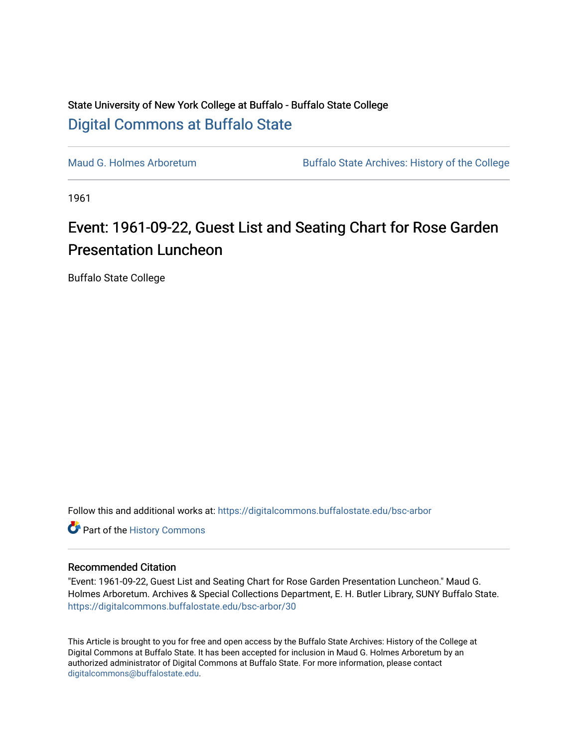## State University of New York College at Buffalo - Buffalo State College [Digital Commons at Buffalo State](https://digitalcommons.buffalostate.edu/)

[Maud G. Holmes Arboretum](https://digitalcommons.buffalostate.edu/bsc-arbor) Buffalo State Archives: History of the College

1961

## Event: 1961-09-22, Guest List and Seating Chart for Rose Garden Presentation Luncheon

Buffalo State College

Follow this and additional works at: [https://digitalcommons.buffalostate.edu/bsc-arbor](https://digitalcommons.buffalostate.edu/bsc-arbor?utm_source=digitalcommons.buffalostate.edu%2Fbsc-arbor%2F30&utm_medium=PDF&utm_campaign=PDFCoverPages) 

Part of the [History Commons](http://network.bepress.com/hgg/discipline/489?utm_source=digitalcommons.buffalostate.edu%2Fbsc-arbor%2F30&utm_medium=PDF&utm_campaign=PDFCoverPages) 

## Recommended Citation

"Event: 1961-09-22, Guest List and Seating Chart for Rose Garden Presentation Luncheon." Maud G. Holmes Arboretum. Archives & Special Collections Department, E. H. Butler Library, SUNY Buffalo State. [https://digitalcommons.buffalostate.edu/bsc-arbor/30](https://digitalcommons.buffalostate.edu/bsc-arbor/30?utm_source=digitalcommons.buffalostate.edu%2Fbsc-arbor%2F30&utm_medium=PDF&utm_campaign=PDFCoverPages) 

This Article is brought to you for free and open access by the Buffalo State Archives: History of the College at Digital Commons at Buffalo State. It has been accepted for inclusion in Maud G. Holmes Arboretum by an authorized administrator of Digital Commons at Buffalo State. For more information, please contact [digitalcommons@buffalostate.edu.](mailto:digitalcommons@buffalostate.edu)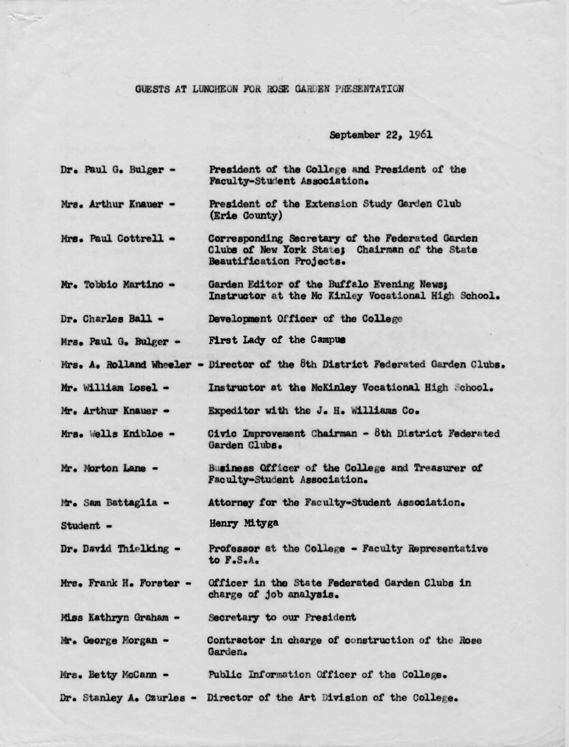## GUESTS AT LUNCHEON FOR ROSE GARDEN PRESENTATION

September 22, 1961

- Dr. Paul G. Bulger -President of the College and President of the Faculty-Student Association.
- President of the Extension Study Garden Club Mrs. Arthur Knauer -(Erie County)
- Corresponding Secretary of the Federated Garden Mrs. Paul Cottrell -Clubs of New York State; Chairman of the State Beautification Projects.
- Garden Editor of the Buffalo Evening News: Mr. Tobbio Martino -Instructor at the Mc Kinley Vocational High School.
- Development Officer of the College Dr. Charles Ball -
- **First Lady of the Campus** Mrs. Paul G. Bulger -
- Mrs. A. Rolland Wheeler Director of the 8th District Federated Garden Clubs.
- Mr. William Losel -Instructor at the McKinley Vocational High School.
- Expeditor with the J. H. Williams Co. Mr. Arthur Knauer -
- Civic Improvement Chairman 8th District Federated Mrs. Wells Knibloe -Garden Clubs.
- Business Officer of the College and Treasurer of Mr. Morton Lane -Faculty-Student Association.

Mr. Sam Battaglia -Attorney for the Faculty-Student Association.

- Henry Mityga Student -
- Professor at the College Faculty Representative Dr. David Thielking to F.S.A.
- Mrs. Frank H. Forster -Officer in the State Federated Garden Clubs in charge of job analysis.

Miss Kathryn Graham -Secretary to our President

- Mr. George Morgan -Contractor in charge of construction of the Rose Garden.
- Mrs. Betty McCann -Public Information Officer of the College.
- Dr. Stanley A. Czurles Director of the Art Division of the College.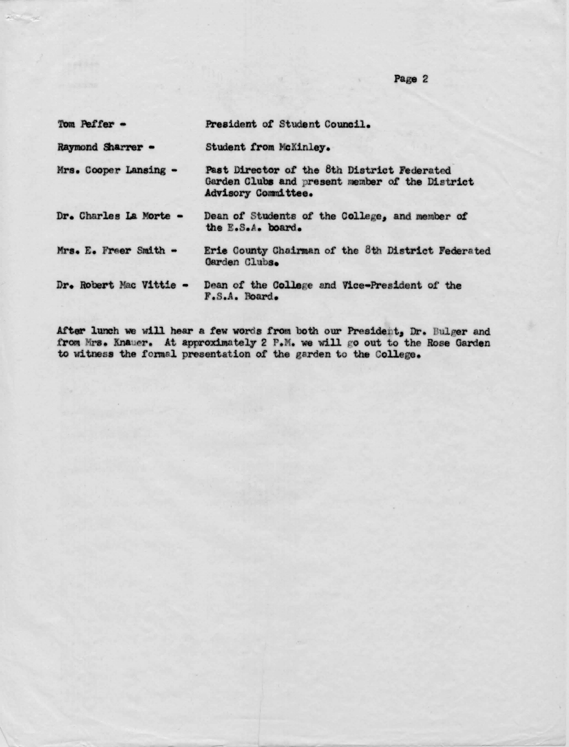**Page** 2

| Tom Peffer -            | President of Student Council.                                                                                         |  |  |
|-------------------------|-----------------------------------------------------------------------------------------------------------------------|--|--|
| Raymond Sharrer -       | Student from McKinley.                                                                                                |  |  |
| Mrs. Cooper Lansing -   | Past Director of the 8th District Federated<br>Garden Clubs and present member of the District<br>Advisory Committee. |  |  |
| Dr. Charles La Morte -  | Dean of Students of the College, and member of<br>the E.S.A. board.                                                   |  |  |
| Mrs. E. Freer Smith -   | Erie County Chairman of the 8th District Federated<br>Garden Clubs.                                                   |  |  |
| Dr. Robert Mac Vittie - | Dean of the College and Vice-President of the<br>F.S.A. Board.                                                        |  |  |

After lunch we will hear a few words from both our President, Dr. Bulger and from Mrs. Knauer. At approximately 2 P.M. we will go out to the Rose Garden to vitnesa the *toms.l.* presentation *ot* the garden to the College.